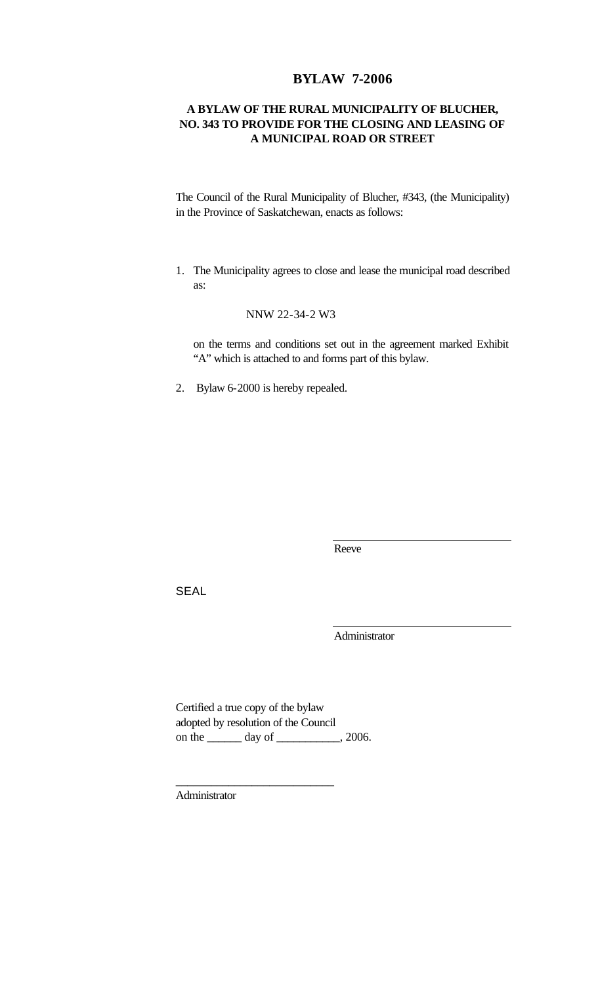# **BYLAW 7-2006**

# **A BYLAW OF THE RURAL MUNICIPALITY OF BLUCHER, NO. 343 TO PROVIDE FOR THE CLOSING AND LEASING OF A MUNICIPAL ROAD OR STREET**

The Council of the Rural Municipality of Blucher, #343, (the Municipality) in the Province of Saskatchewan, enacts as follows:

1. The Municipality agrees to close and lease the municipal road described as:

NNW 22-34-2 W3

on the terms and conditions set out in the agreement marked Exhibit "A" which is attached to and forms part of this bylaw.

2. Bylaw 6-2000 is hereby repealed.

Reeve

SEAL

Administrator

Certified a true copy of the bylaw adopted by resolution of the Council on the day of \_\_\_\_\_\_\_\_\_, 2006.

\_\_\_\_\_\_\_\_\_\_\_\_\_\_\_\_\_\_\_\_\_\_\_\_\_\_\_

Administrator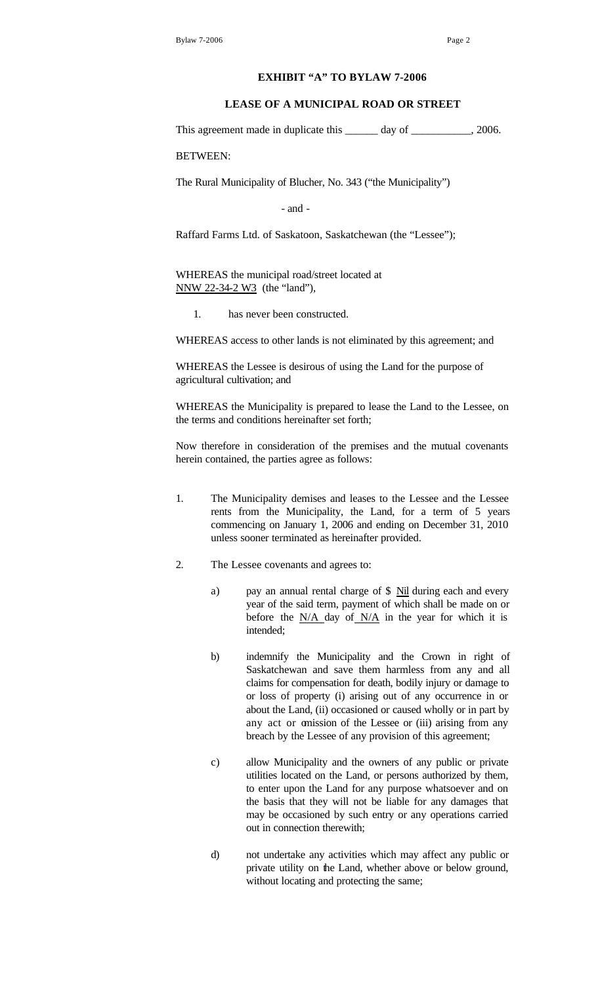## **EXHIBIT "A" TO BYLAW 7-2006**

#### **LEASE OF A MUNICIPAL ROAD OR STREET**

This agreement made in duplicate this \_\_\_\_\_\_ day of \_\_\_\_\_\_\_\_\_, 2006.

BETWEEN:

The Rural Municipality of Blucher, No. 343 ("the Municipality")

- and -

Raffard Farms Ltd. of Saskatoon, Saskatchewan (the "Lessee");

WHEREAS the municipal road/street located at NNW 22-34-2 W3 (the "land"),

1. has never been constructed.

WHEREAS access to other lands is not eliminated by this agreement; and

WHEREAS the Lessee is desirous of using the Land for the purpose of agricultural cultivation; and

WHEREAS the Municipality is prepared to lease the Land to the Lessee, on the terms and conditions hereinafter set forth;

Now therefore in consideration of the premises and the mutual covenants herein contained, the parties agree as follows:

- 1. The Municipality demises and leases to the Lessee and the Lessee rents from the Municipality, the Land, for a term of 5 years commencing on January 1, 2006 and ending on December 31, 2010 unless sooner terminated as hereinafter provided.
- 2. The Lessee covenants and agrees to:
	- a) pay an annual rental charge of \$ Nil during each and every year of the said term, payment of which shall be made on or before the  $N/A$  day of  $N/A$  in the year for which it is intended;
	- b) indemnify the Municipality and the Crown in right of Saskatchewan and save them harmless from any and all claims for compensation for death, bodily injury or damage to or loss of property (i) arising out of any occurrence in or about the Land, (ii) occasioned or caused wholly or in part by any act or omission of the Lessee or (iii) arising from any breach by the Lessee of any provision of this agreement;
	- c) allow Municipality and the owners of any public or private utilities located on the Land, or persons authorized by them, to enter upon the Land for any purpose whatsoever and on the basis that they will not be liable for any damages that may be occasioned by such entry or any operations carried out in connection therewith;
	- d) not undertake any activities which may affect any public or private utility on the Land, whether above or below ground, without locating and protecting the same;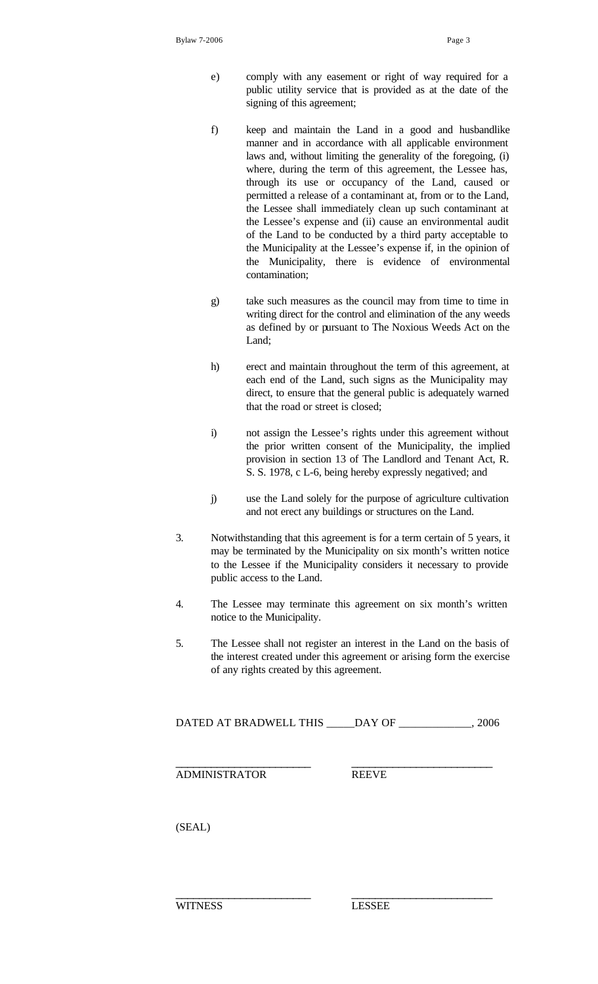- e) comply with any easement or right of way required for a public utility service that is provided as at the date of the signing of this agreement;
- f) keep and maintain the Land in a good and husbandlike manner and in accordance with all applicable environment laws and, without limiting the generality of the foregoing, (i) where, during the term of this agreement, the Lessee has, through its use or occupancy of the Land, caused or permitted a release of a contaminant at, from or to the Land, the Lessee shall immediately clean up such contaminant at the Lessee's expense and (ii) cause an environmental audit of the Land to be conducted by a third party acceptable to the Municipality at the Lessee's expense if, in the opinion of the Municipality, there is evidence of environmental contamination;
- g) take such measures as the council may from time to time in writing direct for the control and elimination of the any weeds as defined by or pursuant to The Noxious Weeds Act on the Land;
- h) erect and maintain throughout the term of this agreement, at each end of the Land, such signs as the Municipality may direct, to ensure that the general public is adequately warned that the road or street is closed;
- i) not assign the Lessee's rights under this agreement without the prior written consent of the Municipality, the implied provision in section 13 of The Landlord and Tenant Act, R. S. S. 1978, c L-6, being hereby expressly negatived; and
- j) use the Land solely for the purpose of agriculture cultivation and not erect any buildings or structures on the Land.
- 3. Notwithstanding that this agreement is for a term certain of 5 years, it may be terminated by the Municipality on six month's written notice to the Lessee if the Municipality considers it necessary to provide public access to the Land.
- 4. The Lessee may terminate this agreement on six month's written notice to the Municipality.
- 5. The Lessee shall not register an interest in the Land on the basis of the interest created under this agreement or arising form the exercise of any rights created by this agreement.

DATED AT BRADWELL THIS \_\_\_\_\_DAY OF \_\_\_\_\_\_\_\_\_\_\_\_\_, 2006

\_\_\_\_\_\_\_\_\_\_\_\_\_\_\_\_\_\_\_\_\_\_\_ \_\_\_\_\_\_\_\_\_\_\_\_\_\_\_\_\_\_\_\_\_\_\_\_ ADMINISTRATOR REEVE

(SEAL)

WITNESS LESSEE

\_\_\_\_\_\_\_\_\_\_\_\_\_\_\_\_\_\_\_\_\_\_\_ \_\_\_\_\_\_\_\_\_\_\_\_\_\_\_\_\_\_\_\_\_\_\_\_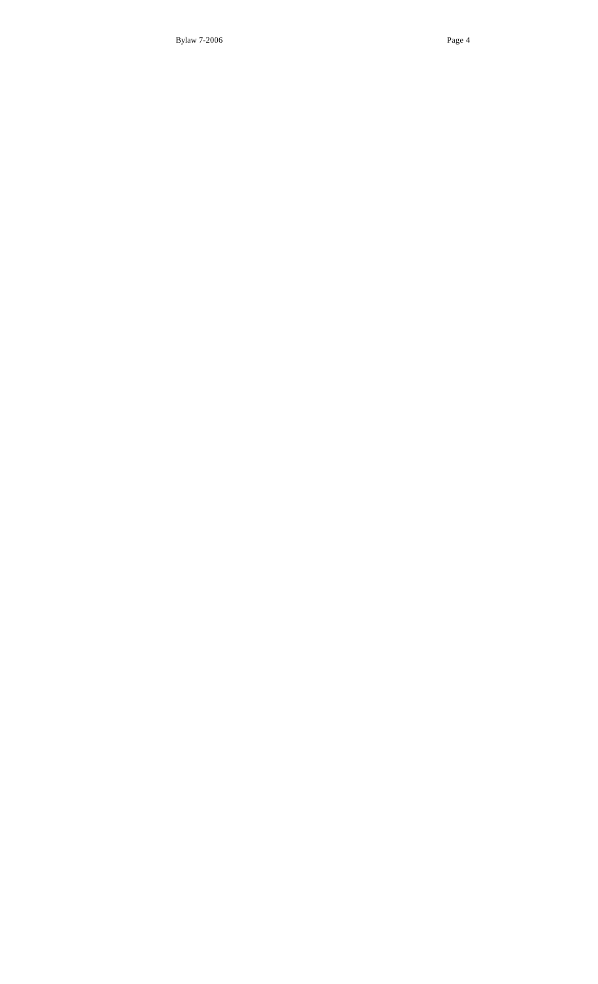Bylaw 7-2006 Page 4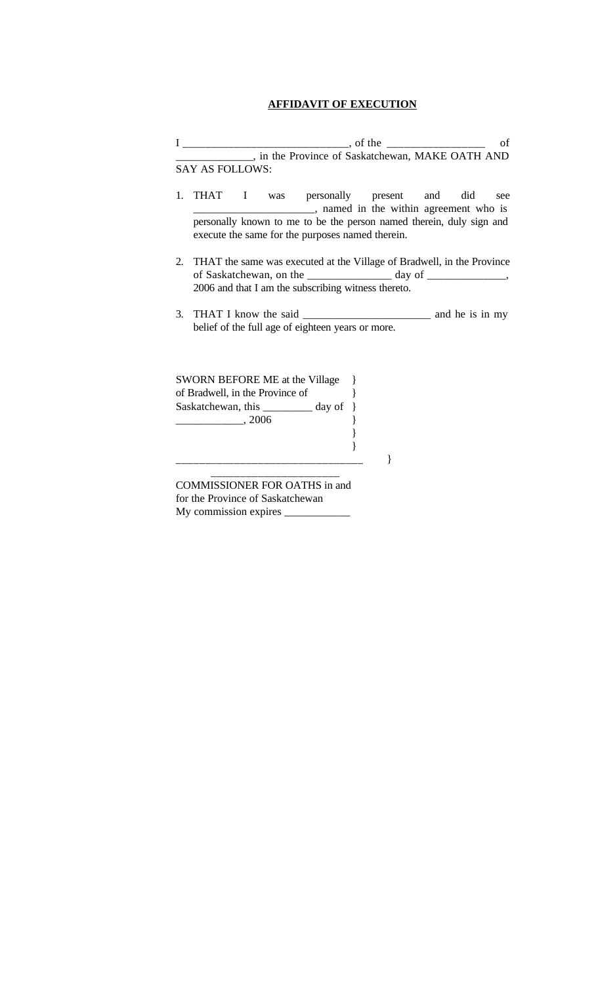# **AFFIDAVIT OF EXECUTION**

|    | οf                                                                                                                                                                                                                      |
|----|-------------------------------------------------------------------------------------------------------------------------------------------------------------------------------------------------------------------------|
|    | ______________, in the Province of Saskatchewan, MAKE OATH AND                                                                                                                                                          |
|    | <b>SAY AS FOLLOWS:</b>                                                                                                                                                                                                  |
|    | 1. THAT I was personally present and did see<br>manual metal in the within agreement who is<br>personally known to me to be the person named therein, duly sign and<br>execute the same for the purposes named therein. |
|    | 2. THAT the same was executed at the Village of Bradwell, in the Province<br>of Saskatchewan, on the ___________________ day of ______________________,<br>2006 and that I am the subscribing witness thereto.          |
| 3. | belief of the full age of eighteen years or more.                                                                                                                                                                       |
|    | <b>SWORN BEFORE ME</b> at the Village }<br>of Bradwell, in the Province of<br>Saskatchewan, this _________ day of }<br>$\frac{1}{2006}$<br>ł<br>_______________________________                                         |
|    | <b>COMMISSIONER FOR OATHS in and</b>                                                                                                                                                                                    |

for the Province of Saskatchewan My commission expires